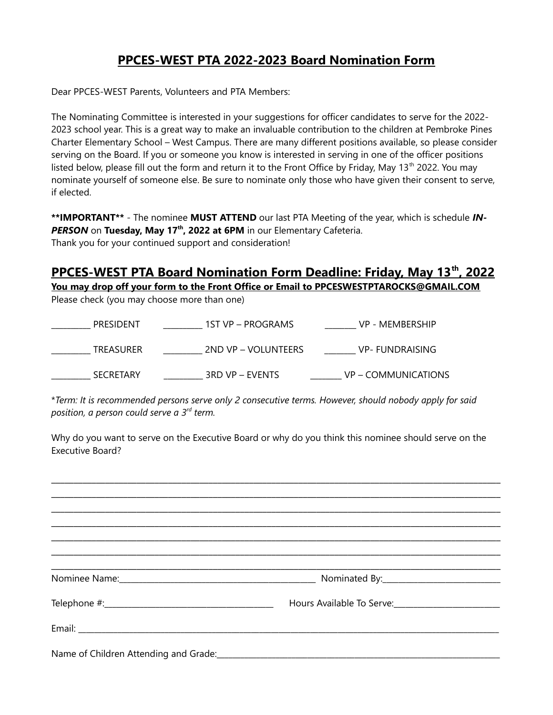# **PPCES-WEST PTA 2022-2023 Board Nomination Form**

Dear PPCES-WEST Parents, Volunteers and PTA Members:

The Nominating Committee is interested in your suggestions for officer candidates to serve for the 2022- 2023 school year. This is a great way to make an invaluable contribution to the children at Pembroke Pines Charter Elementary School – West Campus. There are many different positions available, so please consider serving on the Board. If you or someone you know is interested in serving in one of the officer positions listed below, please fill out the form and return it to the Front Office by Friday, May 13<sup>th</sup> 2022. You may nominate yourself of someone else. Be sure to nominate only those who have given their consent to serve, if elected.

**\*\*IMPORTANT\*\*** - The nominee **MUST ATTEND** our last PTA Meeting of the year, which is schedule *IN-PERSON* on **Tuesday, May 17th, 2022 at 6PM** in our Elementary Cafeteria. Thank you for your continued support and consideration!

# **PPCES-WEST PTA Board Nomination Form Deadline: Friday, May 13<sup>th</sup>, 2022 You may drop off your form to the Front Office or Email to PPCESWESTPTAROCKS@GMAIL.COM**

Please check (you may choose more than one)

| PRESIDENT        | 1ST VP – PROGRAMS   | VP - MEMBERSHIP     |
|------------------|---------------------|---------------------|
| TREASURER        | 2ND VP – VOLUNTEERS | VP- FUNDRAISING     |
| <b>SECRETARY</b> | 3RD VP – EVENTS     | VP - COMMUNICATIONS |

\**Term: It is recommended persons serve only 2 consecutive terms. However, should nobody apply for said position, a person could serve a 3rd term.*

Why do you want to serve on the Executive Board or why do you think this nominee should serve on the Executive Board?

\_\_\_\_\_\_\_\_\_\_\_\_\_\_\_\_\_\_\_\_\_\_\_\_\_\_\_\_\_\_\_\_\_\_\_\_\_\_\_\_\_\_\_\_\_\_\_\_\_\_\_\_\_\_\_\_\_\_\_\_\_\_\_\_\_\_\_\_\_\_\_\_\_\_\_\_\_\_\_\_\_\_\_\_\_\_\_\_\_\_\_\_\_\_\_\_\_\_\_\_

\_\_\_\_\_\_\_\_\_\_\_\_\_\_\_\_\_\_\_\_\_\_\_\_\_\_\_\_\_\_\_\_\_\_\_\_\_\_\_\_\_\_\_\_\_\_\_\_\_\_\_\_\_\_\_\_\_\_\_\_\_\_\_\_\_\_\_\_\_\_\_\_\_\_\_\_\_\_\_\_\_\_\_\_\_\_\_\_\_\_\_\_\_\_\_\_\_\_\_\_ \_\_\_\_\_\_\_\_\_\_\_\_\_\_\_\_\_\_\_\_\_\_\_\_\_\_\_\_\_\_\_\_\_\_\_\_\_\_\_\_\_\_\_\_\_\_\_\_\_\_\_\_\_\_\_\_\_\_\_\_\_\_\_\_\_\_\_\_\_\_\_\_\_\_\_\_\_\_\_\_\_\_\_\_\_\_\_\_\_\_\_\_\_\_\_\_\_\_\_\_ \_\_\_\_\_\_\_\_\_\_\_\_\_\_\_\_\_\_\_\_\_\_\_\_\_\_\_\_\_\_\_\_\_\_\_\_\_\_\_\_\_\_\_\_\_\_\_\_\_\_\_\_\_\_\_\_\_\_\_\_\_\_\_\_\_\_\_\_\_\_\_\_\_\_\_\_\_\_\_\_\_\_\_\_\_\_\_\_\_\_\_\_\_\_\_\_\_\_\_\_ \_\_\_\_\_\_\_\_\_\_\_\_\_\_\_\_\_\_\_\_\_\_\_\_\_\_\_\_\_\_\_\_\_\_\_\_\_\_\_\_\_\_\_\_\_\_\_\_\_\_\_\_\_\_\_\_\_\_\_\_\_\_\_\_\_\_\_\_\_\_\_\_\_\_\_\_\_\_\_\_\_\_\_\_\_\_\_\_\_\_\_\_\_\_\_\_\_\_\_\_ \_\_\_\_\_\_\_\_\_\_\_\_\_\_\_\_\_\_\_\_\_\_\_\_\_\_\_\_\_\_\_\_\_\_\_\_\_\_\_\_\_\_\_\_\_\_\_\_\_\_\_\_\_\_\_\_\_\_\_\_\_\_\_\_\_\_\_\_\_\_\_\_\_\_\_\_\_\_\_\_\_\_\_\_\_\_\_\_\_\_\_\_\_\_\_\_\_\_\_\_ \_\_\_\_\_\_\_\_\_\_\_\_\_\_\_\_\_\_\_\_\_\_\_\_\_\_\_\_\_\_\_\_\_\_\_\_\_\_\_\_\_\_\_\_\_\_\_\_\_\_\_\_\_\_\_\_\_\_\_\_\_\_\_\_\_\_\_\_\_\_\_\_\_\_\_\_\_\_\_\_\_\_\_\_\_\_\_\_\_\_\_\_\_\_\_\_\_\_\_\_ Nominee Name: etc. and the set of the set of the set of the South South South South South South South South South South South South South South South South South South South South South South South South South South South Telephone #:\_\_\_\_\_\_\_\_\_\_\_\_\_\_\_\_\_\_\_\_\_\_\_\_\_\_\_\_\_\_\_\_\_\_\_\_\_\_\_\_\_\_\_ Hours Available To Serve:\_\_\_\_\_\_\_\_\_\_\_\_\_\_\_\_\_\_\_\_\_\_\_\_\_\_\_ Email: \_\_\_\_\_\_\_\_\_\_\_\_\_\_\_\_\_\_\_\_\_\_\_\_\_\_\_\_\_\_\_\_\_\_\_\_\_\_\_\_\_\_\_\_\_\_\_\_\_\_\_\_\_\_\_\_\_\_\_\_\_\_\_\_\_\_\_\_\_\_\_\_\_\_\_\_\_\_\_\_\_\_\_\_\_\_\_\_\_\_\_\_\_\_\_\_\_\_\_\_\_\_\_\_\_\_\_ Name of Children Attending and Grade:\_\_\_\_\_\_\_\_\_\_\_\_\_\_\_\_\_\_\_\_\_\_\_\_\_\_\_\_\_\_\_\_\_\_\_\_\_\_\_\_\_\_\_\_\_\_\_\_\_\_\_\_\_\_\_\_\_\_\_\_\_\_\_\_\_\_\_\_\_\_\_\_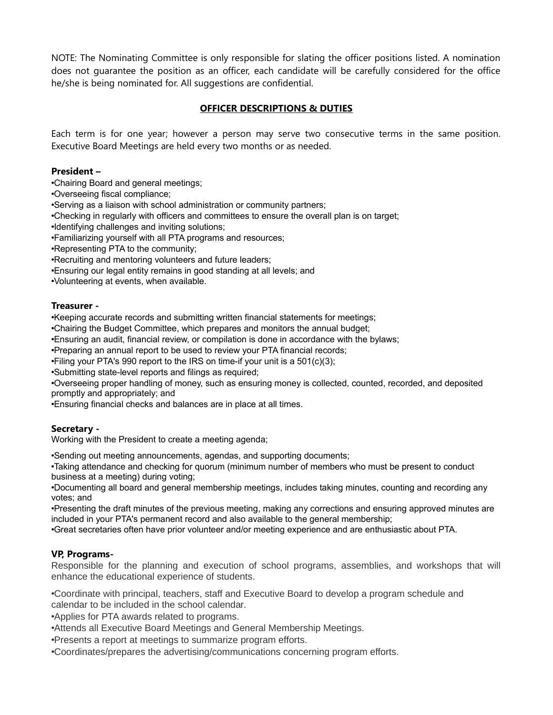NOTE: The Nominating Committee is only responsible for slating the officer positions listed. A nomination does not guarantee the position as an officer, each candidate will be carefully considered for the office he/she is being nominated for. All suggestions are confidential.

# **OFFICER DESCRIPTIONS & DUTIES**

Each term is for one year; however a person may serve two consecutive terms in the same position. Executive Board Meetings are held every two months or as needed.

#### **President –**

•Chairing Board and general meetings;

•Overseeing fiscal compliance;

•Serving as a liaison with school administration or community partners;

•Checking in regularly with officers and committees to ensure the overall plan is on target;

•Identifying challenges and inviting solutions;

•Familiarizing yourself with all PTA programs and resources;

•Representing PTA to the community;

•Recruiting and mentoring volunteers and future leaders;

•Ensuring our legal entity remains in good standing at all levels; and

•Volunteering at events, when available.

#### **Treasurer -**

•Keeping accurate records and submitting written financial statements for meetings;

•Chairing the Budget Committee, which prepares and monitors the annual budget;

•Ensuring an audit, financial review, or compilation is done in accordance with the bylaws;

•Preparing an annual report to be used to review your PTA financial records;

•Filing your PTA's 990 report to the IRS on time-if your unit is a 501(c)(3);

•Submitting state-level reports and filings as required;

•Overseeing proper handling of money, such as ensuring money is collected, counted, recorded, and deposited promptly and appropriately; and

•Ensuring financial checks and balances are in place at all times.

#### **Secretary -**

Working with the President to create a meeting agenda;

•Sending out meeting announcements, agendas, and supporting documents;

•Taking attendance and checking for quorum (minimum number of members who must be present to conduct business at a meeting) during voting;

•Documenting all board and general membership meetings, includes taking minutes, counting and recording any votes; and

•Presenting the draft minutes of the previous meeting, making any corrections and ensuring approved minutes are included in your PTA's permanent record and also available to the general membership;

•Great secretaries often have prior volunteer and/or meeting experience and are enthusiastic about PTA.

#### **VP, Programs-**

Responsible for the planning and execution of school programs, assemblies, and workshops that will enhance the educational experience of students.

•Coordinate with principal, teachers, staff and Executive Board to develop a program schedule and calendar to be included in the school calendar.

•Applies for PTA awards related to programs.

•Attends all Executive Board Meetings and General Membership Meetings.

•Presents a report at meetings to summarize program efforts.

•Coordinates/prepares the advertising/communications concerning program efforts.